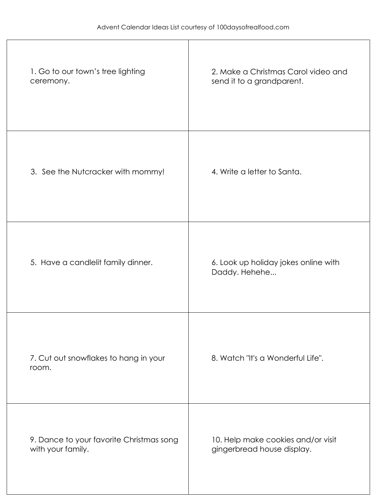| 1. Go to our town's tree lighting<br>ceremony.                | 2. Make a Christmas Carol video and<br>send it to a grandparent. |
|---------------------------------------------------------------|------------------------------------------------------------------|
| 3. See the Nutcracker with mommy!                             | 4. Write a letter to Santa.                                      |
| 5. Have a candlelit family dinner.                            | 6. Look up holiday jokes online with<br>Daddy. Hehehe            |
| 7. Cut out snowflakes to hang in your<br>room.                | 8. Watch "It's a Wonderful Life".                                |
| 9. Dance to your favorite Christmas song<br>with your family. | 10. Help make cookies and/or visit<br>gingerbread house display. |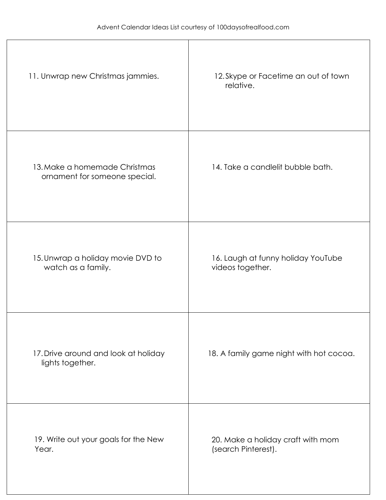| 11. Unwrap new Christmas jammies.                              | 12. Skype or Facetime an out of town<br>relative.        |
|----------------------------------------------------------------|----------------------------------------------------------|
| 13. Make a homemade Christmas<br>ornament for someone special. | 14. Take a candlelit bubble bath.                        |
| 15. Unwrap a holiday movie DVD to<br>watch as a family.        | 16. Laugh at funny holiday YouTube<br>videos together.   |
| 17. Drive around and look at holiday<br>lights together.       | 18. A family game night with hot cocoa.                  |
| 19. Write out your goals for the New<br>Year.                  | 20. Make a holiday craft with mom<br>(search Pinterest). |